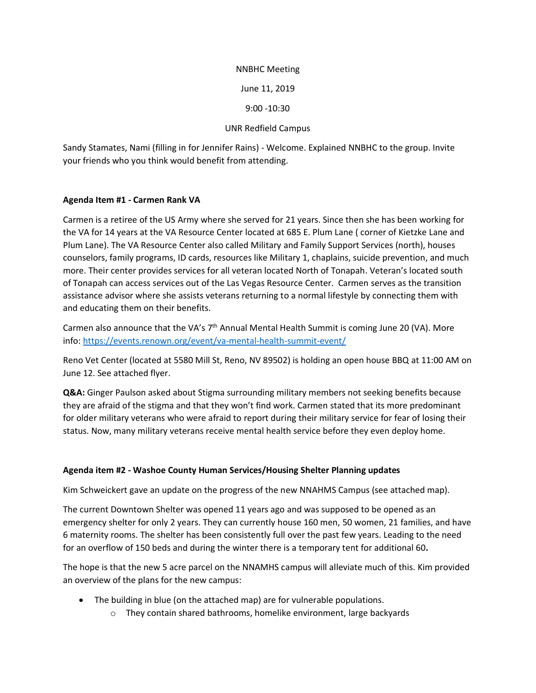# NNBHC Meeting

June 11, 2019

9:00 -10:30

#### UNR Redfield Campus

Sandy Stamates, Nami (filling in for Jennifer Rains) - Welcome. Explained NNBHC to the group. Invite your friends who you think would benefit from attending.

### **Agenda Item #1 - Carmen Rank VA**

Carmen is a retiree of the US Army where she served for 21 years. Since then she has been working for the VA for 14 years at the VA Resource Center located at 685 E. Plum Lane ( corner of Kietzke Lane and Plum Lane). The VA Resource Center also called Military and Family Support Services (north), houses counselors, family programs, ID cards, resources like Military 1, chaplains, suicide prevention, and much more. Their center provides services for all veteran located North of Tonapah. Veteran's located south of Tonapah can access services out of the Las Vegas Resource Center. Carmen serves as the transition assistance advisor where she assists veterans returning to a normal lifestyle by connecting them with and educating them on their benefits.

Carmen also announce that the VA's  $7<sup>th</sup>$  Annual Mental Health Summit is coming June 20 (VA). More info:<https://events.renown.org/event/va-mental-health-summit-event/>

Reno Vet Center (located at 5580 Mill St, Reno, NV 89502) is holding an open house BBQ at 11:00 AM on June 12. See attached flyer.

**Q&A:** Ginger Paulson asked about Stigma surrounding military members not seeking benefits because they are afraid of the stigma and that they won't find work. Carmen stated that its more predominant for older military veterans who were afraid to report during their military service for fear of losing their status. Now, many military veterans receive mental health service before they even deploy home.

#### **Agenda item #2 - Washoe County Human Services/Housing Shelter Planning updates**

Kim Schweickert gave an update on the progress of the new NNAHMS Campus (see attached map).

The current Downtown Shelter was opened 11 years ago and was supposed to be opened as an emergency shelter for only 2 years. They can currently house 160 men, 50 women, 21 families, and have 6 maternity rooms. The shelter has been consistently full over the past few years. Leading to the need for an overflow of 150 beds and during the winter there is a temporary tent for additional 60**.**

The hope is that the new 5 acre parcel on the NNAMHS campus will alleviate much of this. Kim provided an overview of the plans for the new campus:

- The building in blue (on the attached map) are for vulnerable populations.
	- o They contain shared bathrooms, homelike environment, large backyards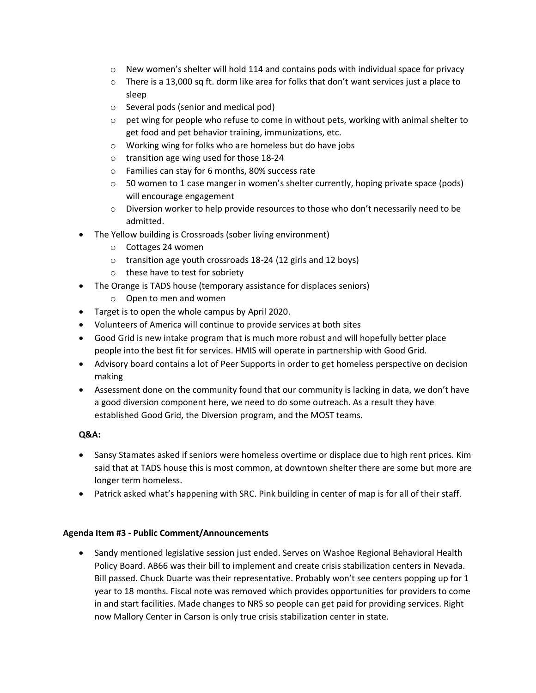- $\circ$  New women's shelter will hold 114 and contains pods with individual space for privacy
- $\circ$  There is a 13,000 sq ft. dorm like area for folks that don't want services just a place to sleep
- o Several pods (senior and medical pod)
- $\circ$  pet wing for people who refuse to come in without pets, working with animal shelter to get food and pet behavior training, immunizations, etc.
- o Working wing for folks who are homeless but do have jobs
- o transition age wing used for those 18-24
- o Families can stay for 6 months, 80% success rate
- $\circ$  50 women to 1 case manger in women's shelter currently, hoping private space (pods) will encourage engagement
- o Diversion worker to help provide resources to those who don't necessarily need to be admitted.
- The Yellow building is Crossroads (sober living environment)
	- o Cottages 24 women
	- o transition age youth crossroads 18-24 (12 girls and 12 boys)
	- o these have to test for sobriety
- The Orange is TADS house (temporary assistance for displaces seniors)
	- o Open to men and women
- Target is to open the whole campus by April 2020.
- Volunteers of America will continue to provide services at both sites
- Good Grid is new intake program that is much more robust and will hopefully better place people into the best fit for services. HMIS will operate in partnership with Good Grid.
- Advisory board contains a lot of Peer Supports in order to get homeless perspective on decision making
- Assessment done on the community found that our community is lacking in data, we don't have a good diversion component here, we need to do some outreach. As a result they have established Good Grid, the Diversion program, and the MOST teams.

# **Q&A:**

- Sansy Stamates asked if seniors were homeless overtime or displace due to high rent prices. Kim said that at TADS house this is most common, at downtown shelter there are some but more are longer term homeless.
- Patrick asked what's happening with SRC. Pink building in center of map is for all of their staff.

# **Agenda Item #3 - Public Comment/Announcements**

• Sandy mentioned legislative session just ended. Serves on Washoe Regional Behavioral Health Policy Board. AB66 was their bill to implement and create crisis stabilization centers in Nevada. Bill passed. Chuck Duarte was their representative. Probably won't see centers popping up for 1 year to 18 months. Fiscal note was removed which provides opportunities for providers to come in and start facilities. Made changes to NRS so people can get paid for providing services. Right now Mallory Center in Carson is only true crisis stabilization center in state.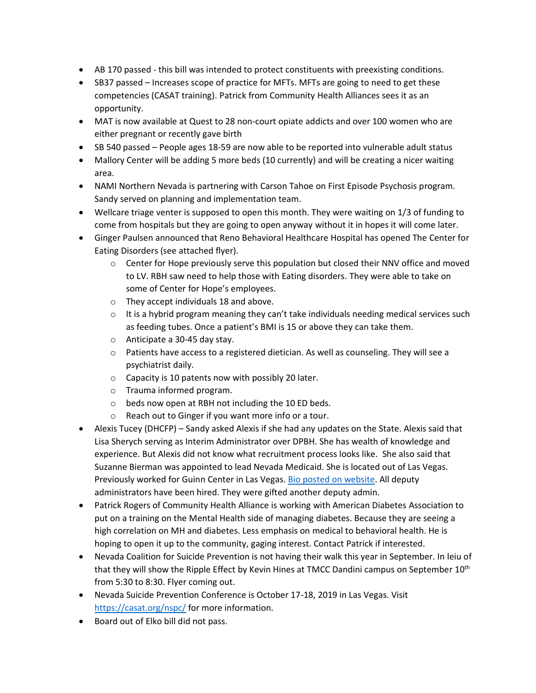- AB 170 passed this bill was intended to protect constituents with preexisting conditions.
- SB37 passed Increases scope of practice for MFTs. MFTs are going to need to get these competencies (CASAT training). Patrick from Community Health Alliances sees it as an opportunity.
- MAT is now available at Quest to 28 non-court opiate addicts and over 100 women who are either pregnant or recently gave birth
- SB 540 passed People ages 18-59 are now able to be reported into vulnerable adult status
- Mallory Center will be adding 5 more beds (10 currently) and will be creating a nicer waiting area.
- NAMI Northern Nevada is partnering with Carson Tahoe on First Episode Psychosis program. Sandy served on planning and implementation team.
- Wellcare triage venter is supposed to open this month. They were waiting on 1/3 of funding to come from hospitals but they are going to open anyway without it in hopes it will come later.
- Ginger Paulsen announced that Reno Behavioral Healthcare Hospital has opened The Center for Eating Disorders (see attached flyer).
	- $\circ$  Center for Hope previously serve this population but closed their NNV office and moved to LV. RBH saw need to help those with Eating disorders. They were able to take on some of Center for Hope's employees.
	- o They accept individuals 18 and above.
	- $\circ$  It is a hybrid program meaning they can't take individuals needing medical services such as feeding tubes. Once a patient's BMI is 15 or above they can take them.
	- o Anticipate a 30-45 day stay.
	- $\circ$  Patients have access to a registered dietician. As well as counseling. They will see a psychiatrist daily.
	- o Capacity is 10 patents now with possibly 20 later.
	- o Trauma informed program.
	- o beds now open at RBH not including the 10 ED beds.
	- o Reach out to Ginger if you want more info or a tour.
- Alexis Tucey (DHCFP) Sandy asked Alexis if she had any updates on the State. Alexis said that Lisa Sherych serving as Interim Administrator over DPBH. She has wealth of knowledge and experience. But Alexis did not know what recruitment process looks like. She also said that Suzanne Bierman was appointed to lead Nevada Medicaid. She is located out of Las Vegas. Previously worked for Guinn Center in Las Vegas. [Bio posted on website.](http://dhhs.nv.gov/Reports/Press_Releases/2019/Suzanne_Bierman_Appointed_to_Lead_Nevada_Medicaid/) All deputy administrators have been hired. They were gifted another deputy admin.
- Patrick Rogers of Community Health Alliance is working with American Diabetes Association to put on a training on the Mental Health side of managing diabetes. Because they are seeing a high correlation on MH and diabetes. Less emphasis on medical to behavioral health. He is hoping to open it up to the community, gaging interest. Contact Patrick if interested.
- Nevada Coalition for Suicide Prevention is not having their walk this year in September. In leiu of that they will show the Ripple Effect by Kevin Hines at TMCC Dandini campus on September 10<sup>th</sup> from 5:30 to 8:30. Flyer coming out.
- Nevada Suicide Prevention Conference is October 17-18, 2019 in Las Vegas. Visit <https://casat.org/nspc/> for more information.
- Board out of Elko bill did not pass.